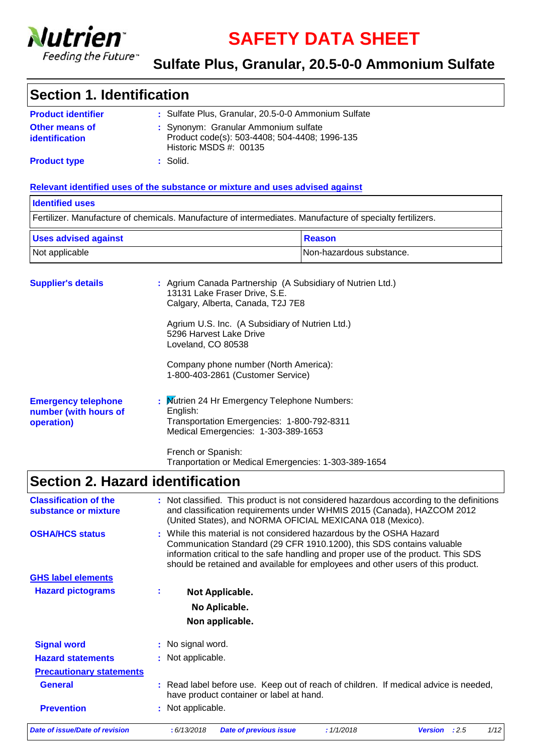

**SAFETY DATA SHEET**

### **Sulfate Plus, Granular, 20.5-0-0 Ammonium Sulfate**

### **Section 1. Identification**

| <b>Product identifier</b>               | : Sulfate Plus, Granular, 20.5-0-0 Ammonium Sulfate                                                                |
|-----------------------------------------|--------------------------------------------------------------------------------------------------------------------|
| <b>Other means of</b><br>identification | : Synonym: Granular Ammonium sulfate<br>Product code(s): 503-4408; 504-4408; 1996-135<br>Historic MSDS $#$ : 00135 |
| <b>Product type</b>                     | : Solid.                                                                                                           |

### **Relevant identified uses of the substance or mixture and uses advised against**

### Fertilizer. Manufacture of chemicals. Manufacture of intermediates. Manufacture of specialty fertilizers. **Identified uses** Not applicable  $\vert$ Non-hazardous substance. Uses advised against **Reason**

| <b>Supplier's details</b>                                         | : Agrium Canada Partnership (A Subsidiary of Nutrien Ltd.)<br>13131 Lake Fraser Drive, S.E.<br>Calgary, Alberta, Canada, T2J 7E8              |
|-------------------------------------------------------------------|-----------------------------------------------------------------------------------------------------------------------------------------------|
|                                                                   | Agrium U.S. Inc. (A Subsidiary of Nutrien Ltd.)<br>5296 Harvest Lake Drive<br>Loveland, CO 80538                                              |
|                                                                   | Company phone number (North America):<br>1-800-403-2861 (Customer Service)                                                                    |
| <b>Emergency telephone</b><br>number (with hours of<br>operation) | : Mutrien 24 Hr Emergency Telephone Numbers:<br>English:<br>Transportation Emergencies: 1-800-792-8311<br>Medical Emergencies: 1-303-389-1653 |
|                                                                   | French or Spanish:<br>Tranportation or Medical Emergencies: 1-303-389-1654                                                                    |

# **Section 2. Hazard identification**

| <b>Classification of the</b><br>substance or mixture |   | : Not classified. This product is not considered hazardous according to the definitions<br>and classification requirements under WHMIS 2015 (Canada), HAZCOM 2012<br>(United States), and NORMA OFICIAL MEXICANA 018 (Mexico).                                                                                        |
|------------------------------------------------------|---|-----------------------------------------------------------------------------------------------------------------------------------------------------------------------------------------------------------------------------------------------------------------------------------------------------------------------|
| <b>OSHA/HCS status</b>                               |   | : While this material is not considered hazardous by the OSHA Hazard<br>Communication Standard (29 CFR 1910.1200), this SDS contains valuable<br>information critical to the safe handling and proper use of the product. This SDS<br>should be retained and available for employees and other users of this product. |
| <b>GHS label elements</b>                            |   |                                                                                                                                                                                                                                                                                                                       |
| <b>Hazard pictograms</b>                             | ÷ | Not Applicable.                                                                                                                                                                                                                                                                                                       |
|                                                      |   | No Aplicable.                                                                                                                                                                                                                                                                                                         |
|                                                      |   | Non applicable.                                                                                                                                                                                                                                                                                                       |
| <b>Signal word</b>                                   |   | : No signal word.                                                                                                                                                                                                                                                                                                     |
| <b>Hazard statements</b>                             |   | : Not applicable.                                                                                                                                                                                                                                                                                                     |
| <b>Precautionary statements</b>                      |   |                                                                                                                                                                                                                                                                                                                       |
| <b>General</b>                                       |   | : Read label before use. Keep out of reach of children. If medical advice is needed,<br>have product container or label at hand.                                                                                                                                                                                      |
| <b>Prevention</b>                                    |   | : Not applicable.                                                                                                                                                                                                                                                                                                     |
| Date of issue/Date of revision                       |   | 1/12<br>: 1/1/2018<br>: 6/13/2018<br><b>Date of previous issue</b><br><b>Version</b><br>:2.5                                                                                                                                                                                                                          |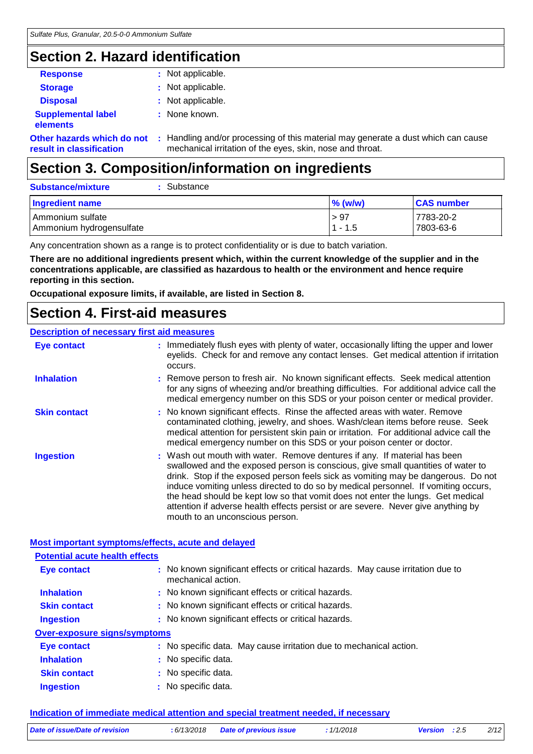# **Section 2. Hazard identification**

| <b>Response</b>                                        |    | : Not applicable.                                                                                                                            |
|--------------------------------------------------------|----|----------------------------------------------------------------------------------------------------------------------------------------------|
| <b>Storage</b>                                         |    | : Not applicable.                                                                                                                            |
| <b>Disposal</b>                                        |    | : Not applicable.                                                                                                                            |
| <b>Supplemental label</b><br>elements                  |    | : None known.                                                                                                                                |
| Other hazards which do not<br>result in classification | ÷. | Handling and/or processing of this material may generate a dust which can cause<br>mechanical irritation of the eyes, skin, nose and throat. |
|                                                        |    |                                                                                                                                              |

# **Section 3. Composition/information on ingredients**

| Substance<br><b>Substance/mixture</b>        |                   |                        |
|----------------------------------------------|-------------------|------------------------|
| Ingredient name                              | $\%$ (w/w)        | <b>CAS number</b>      |
| Ammonium sulfate<br>Ammonium hydrogensulfate | > 97<br>$1 - 1.5$ | 7783-20-2<br>7803-63-6 |

Any concentration shown as a range is to protect confidentiality or is due to batch variation.

**There are no additional ingredients present which, within the current knowledge of the supplier and in the concentrations applicable, are classified as hazardous to health or the environment and hence require reporting in this section.**

**Occupational exposure limits, if available, are listed in Section 8.**

### **Section 4. First-aid measures**

### **Description of necessary first aid measures**

| : Immediately flush eyes with plenty of water, occasionally lifting the upper and lower<br>eyelids. Check for and remove any contact lenses. Get medical attention if irritation<br>occurs.                                                                                                                                                                                                                                                                                                                                                         |
|-----------------------------------------------------------------------------------------------------------------------------------------------------------------------------------------------------------------------------------------------------------------------------------------------------------------------------------------------------------------------------------------------------------------------------------------------------------------------------------------------------------------------------------------------------|
| : Remove person to fresh air. No known significant effects. Seek medical attention<br>for any signs of wheezing and/or breathing difficulties. For additional advice call the<br>medical emergency number on this SDS or your poison center or medical provider.                                                                                                                                                                                                                                                                                    |
| : No known significant effects. Rinse the affected areas with water. Remove<br>contaminated clothing, jewelry, and shoes. Wash/clean items before reuse. Seek<br>medical attention for persistent skin pain or irritation. For additional advice call the<br>medical emergency number on this SDS or your poison center or doctor.                                                                                                                                                                                                                  |
| : Wash out mouth with water. Remove dentures if any. If material has been<br>swallowed and the exposed person is conscious, give small quantities of water to<br>drink. Stop if the exposed person feels sick as vomiting may be dangerous. Do not<br>induce vomiting unless directed to do so by medical personnel. If vomiting occurs,<br>the head should be kept low so that vomit does not enter the lungs. Get medical<br>attention if adverse health effects persist or are severe. Never give anything by<br>mouth to an unconscious person. |
|                                                                                                                                                                                                                                                                                                                                                                                                                                                                                                                                                     |

### **Most important symptoms/effects, acute and delayed**

| <b>Potential acute health effects</b> |                                                                                                       |
|---------------------------------------|-------------------------------------------------------------------------------------------------------|
|                                       | : No known significant effects or critical hazards. May cause irritation due to<br>mechanical action. |
|                                       | : No known significant effects or critical hazards.                                                   |
|                                       | : No known significant effects or critical hazards.                                                   |
|                                       | : No known significant effects or critical hazards.                                                   |
| <b>Over-exposure signs/symptoms</b>   |                                                                                                       |
|                                       | : No specific data. May cause irritation due to mechanical action.                                    |
|                                       | : No specific data.                                                                                   |
|                                       | : No specific data.                                                                                   |
|                                       | : No specific data.                                                                                   |
|                                       |                                                                                                       |

### **Indication of immediate medical attention and special treatment needed, if necessary**

| Date of issue/Date of revision | :6/13/2018 | <b>Date of previous issue</b> | 1/1/2018 | Version : 2.5 | 2/12 |
|--------------------------------|------------|-------------------------------|----------|---------------|------|
|                                |            |                               |          |               |      |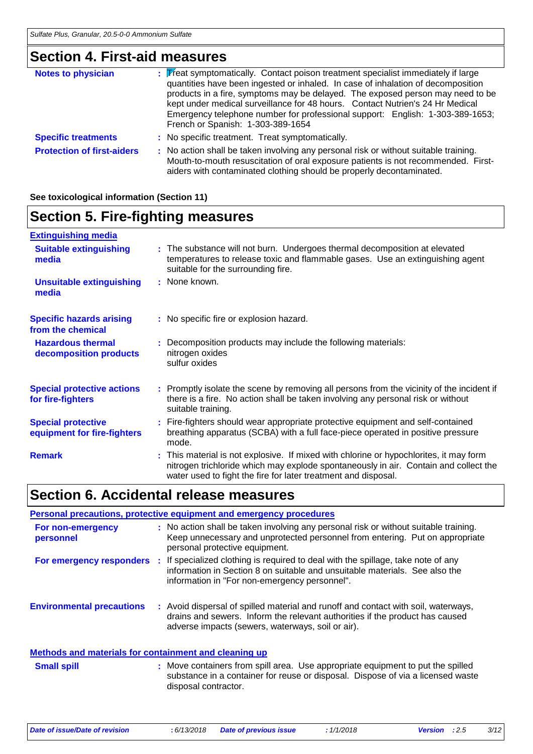# **Section 4. First-aid measures**

| <b>Notes to physician</b>         | : Treat symptomatically. Contact poison treatment specialist immediately if large<br>quantities have been ingested or inhaled. In case of inhalation of decomposition<br>products in a fire, symptoms may be delayed. The exposed person may need to be<br>kept under medical surveillance for 48 hours. Contact Nutrien's 24 Hr Medical<br>Emergency telephone number for professional support: English: 1-303-389-1653;<br>French or Spanish: 1-303-389-1654 |  |
|-----------------------------------|----------------------------------------------------------------------------------------------------------------------------------------------------------------------------------------------------------------------------------------------------------------------------------------------------------------------------------------------------------------------------------------------------------------------------------------------------------------|--|
| <b>Specific treatments</b>        | : No specific treatment. Treat symptomatically.                                                                                                                                                                                                                                                                                                                                                                                                                |  |
| <b>Protection of first-aiders</b> | : No action shall be taken involving any personal risk or without suitable training.<br>Mouth-to-mouth resuscitation of oral exposure patients is not recommended. First-<br>aiders with contaminated clothing should be properly decontaminated.                                                                                                                                                                                                              |  |

### **See toxicological information (Section 11)**

# **Section 5. Fire-fighting measures**

| <b>Extinguishing media</b>                               |                                                                                                                                                                                                                                                  |
|----------------------------------------------------------|--------------------------------------------------------------------------------------------------------------------------------------------------------------------------------------------------------------------------------------------------|
| <b>Suitable extinguishing</b><br>media                   | : The substance will not burn. Undergoes thermal decomposition at elevated<br>temperatures to release toxic and flammable gases. Use an extinguishing agent<br>suitable for the surrounding fire.                                                |
| <b>Unsuitable extinguishing</b><br>media                 | : None known.                                                                                                                                                                                                                                    |
| <b>Specific hazards arising</b><br>from the chemical     | : No specific fire or explosion hazard.                                                                                                                                                                                                          |
| <b>Hazardous thermal</b><br>decomposition products       | : Decomposition products may include the following materials:<br>nitrogen oxides<br>sulfur oxides                                                                                                                                                |
| <b>Special protective actions</b><br>for fire-fighters   | : Promptly isolate the scene by removing all persons from the vicinity of the incident if<br>there is a fire. No action shall be taken involving any personal risk or without<br>suitable training.                                              |
| <b>Special protective</b><br>equipment for fire-fighters | : Fire-fighters should wear appropriate protective equipment and self-contained<br>breathing apparatus (SCBA) with a full face-piece operated in positive pressure<br>mode.                                                                      |
| <b>Remark</b>                                            | : This material is not explosive. If mixed with chlorine or hypochlorites, it may form<br>nitrogen trichloride which may explode spontaneously in air. Contain and collect the<br>water used to fight the fire for later treatment and disposal. |

# **Section 6. Accidental release measures**

|                                                       | Personal precautions, protective equipment and emergency procedures                                                                                                                                                     |
|-------------------------------------------------------|-------------------------------------------------------------------------------------------------------------------------------------------------------------------------------------------------------------------------|
| For non-emergency<br>personnel                        | : No action shall be taken involving any personal risk or without suitable training.<br>Keep unnecessary and unprotected personnel from entering. Put on appropriate<br>personal protective equipment.                  |
| For emergency responders                              | If specialized clothing is required to deal with the spillage, take note of any<br>information in Section 8 on suitable and unsuitable materials. See also the<br>information in "For non-emergency personnel".         |
| <b>Environmental precautions</b>                      | : Avoid dispersal of spilled material and runoff and contact with soil, waterways,<br>drains and sewers. Inform the relevant authorities if the product has caused<br>adverse impacts (sewers, waterways, soil or air). |
| Methods and materials for containment and cleaning up |                                                                                                                                                                                                                         |
| <b>Small spill</b>                                    | : Move containers from spill area. Use appropriate equipment to put the spilled<br>substance in a container for reuse or disposal. Dispose of via a licensed waste                                                      |

disposal contractor.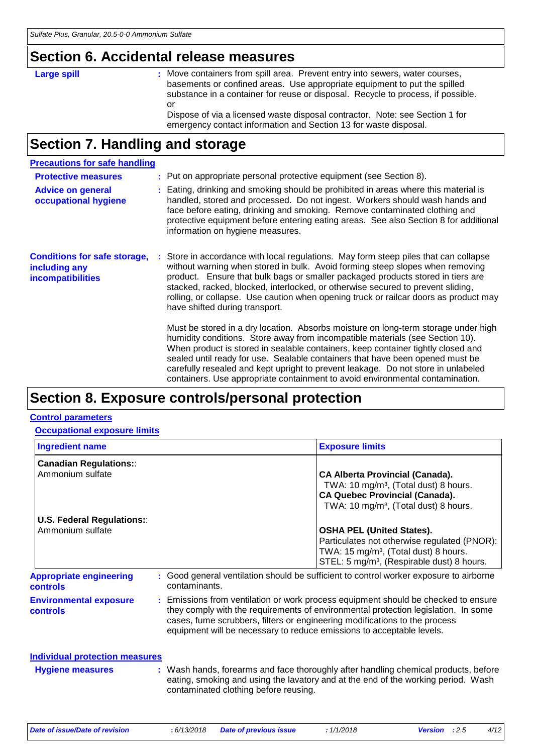### **Section 6. Accidental release measures**

### Large spill

: Move containers from spill area. Prevent entry into sewers, water courses, basements or confined areas. Use appropriate equipment to put the spilled substance in a container for reuse or disposal. Recycle to process, if possible. or Dispose of via a licensed waste disposal contractor. Note: see Section 1 for

emergency contact information and Section 13 for waste disposal.

# **Section 7. Handling and storage**

| <b>Precautions for safe handling</b>                                             |                                                                                                                                                                                                                                                                                                                                                                                                                                                                                                                |
|----------------------------------------------------------------------------------|----------------------------------------------------------------------------------------------------------------------------------------------------------------------------------------------------------------------------------------------------------------------------------------------------------------------------------------------------------------------------------------------------------------------------------------------------------------------------------------------------------------|
| <b>Protective measures</b>                                                       | : Put on appropriate personal protective equipment (see Section 8).                                                                                                                                                                                                                                                                                                                                                                                                                                            |
| <b>Advice on general</b><br>occupational hygiene                                 | : Eating, drinking and smoking should be prohibited in areas where this material is<br>handled, stored and processed. Do not ingest. Workers should wash hands and<br>face before eating, drinking and smoking. Remove contaminated clothing and<br>protective equipment before entering eating areas. See also Section 8 for additional<br>information on hygiene measures.                                                                                                                                   |
| <b>Conditions for safe storage,</b><br>including any<br><b>incompatibilities</b> | Store in accordance with local regulations. May form steep piles that can collapse<br>without warning when stored in bulk. Avoid forming steep slopes when removing<br>product. Ensure that bulk bags or smaller packaged products stored in tiers are<br>stacked, racked, blocked, interlocked, or otherwise secured to prevent sliding,<br>rolling, or collapse. Use caution when opening truck or railcar doors as product may<br>have shifted during transport.                                            |
|                                                                                  | Must be stored in a dry location. Absorbs moisture on long-term storage under high<br>humidity conditions. Store away from incompatible materials (see Section 10).<br>When product is stored in sealable containers, keep container tightly closed and<br>sealed until ready for use. Sealable containers that have been opened must be<br>carefully resealed and kept upright to prevent leakage. Do not store in unlabeled<br>containers. Use appropriate containment to avoid environmental contamination. |

## **Section 8. Exposure controls/personal protection**

#### **Control parameters**

| <b>Occupational exposure limits</b>                   |  |                                                                                                                                                     |                                                                                                                                                                                                 |
|-------------------------------------------------------|--|-----------------------------------------------------------------------------------------------------------------------------------------------------|-------------------------------------------------------------------------------------------------------------------------------------------------------------------------------------------------|
| <b>Ingredient name</b>                                |  |                                                                                                                                                     | <b>Exposure limits</b>                                                                                                                                                                          |
| <b>Canadian Regulations::</b>                         |  |                                                                                                                                                     |                                                                                                                                                                                                 |
| Ammonium sulfate                                      |  |                                                                                                                                                     | <b>CA Alberta Provincial (Canada).</b><br>TWA: 10 mg/m <sup>3</sup> , (Total dust) 8 hours.<br><b>CA Quebec Provincial (Canada).</b><br>TWA: 10 mg/m <sup>3</sup> , (Total dust) 8 hours.       |
| <b>U.S. Federal Regulations::</b><br>Ammonium sulfate |  |                                                                                                                                                     | <b>OSHA PEL (United States).</b><br>Particulates not otherwise regulated (PNOR):<br>TWA: 15 mg/m <sup>3</sup> , (Total dust) 8 hours.<br>STEL: 5 mg/m <sup>3</sup> , (Respirable dust) 8 hours. |
| <b>Appropriate engineering</b><br>controls            |  | contaminants.                                                                                                                                       | : Good general ventilation should be sufficient to control worker exposure to airborne                                                                                                          |
| <b>Environmental exposure</b><br>controls             |  | cases, fume scrubbers, filters or engineering modifications to the process<br>equipment will be necessary to reduce emissions to acceptable levels. | : Emissions from ventilation or work process equipment should be checked to ensure<br>they comply with the requirements of environmental protection legislation. In some                        |
| <b>Individual protection measures</b>                 |  |                                                                                                                                                     |                                                                                                                                                                                                 |
| <b>Hygiene measures</b>                               |  |                                                                                                                                                     | : Wash hands, forearms and face thoroughly after handling chemical products, before                                                                                                             |

eating, smoking and using the lavatory and at the end of the working period. Wash

contaminated clothing before reusing.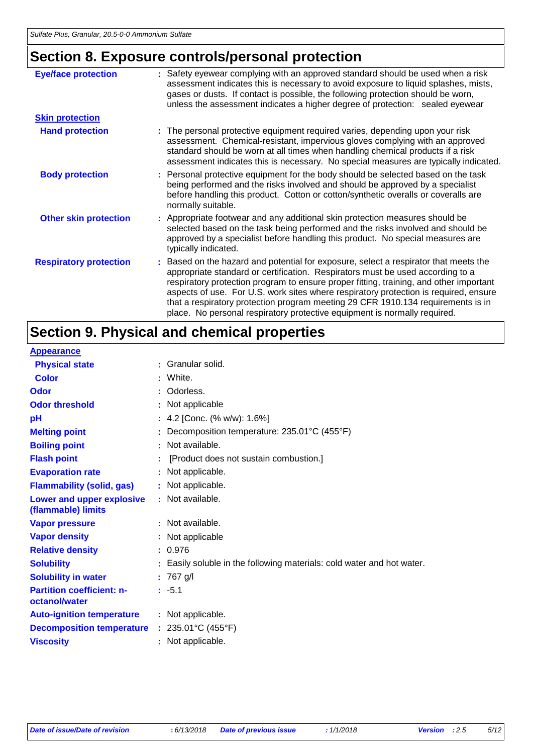# **Section 8. Exposure controls/personal protection**

| <b>Eye/face protection</b>    | : Safety eyewear complying with an approved standard should be used when a risk<br>assessment indicates this is necessary to avoid exposure to liquid splashes, mists,<br>gases or dusts. If contact is possible, the following protection should be worn,<br>unless the assessment indicates a higher degree of protection: sealed eyewear                                                                                                                                                                               |
|-------------------------------|---------------------------------------------------------------------------------------------------------------------------------------------------------------------------------------------------------------------------------------------------------------------------------------------------------------------------------------------------------------------------------------------------------------------------------------------------------------------------------------------------------------------------|
| <b>Skin protection</b>        |                                                                                                                                                                                                                                                                                                                                                                                                                                                                                                                           |
| <b>Hand protection</b>        | : The personal protective equipment required varies, depending upon your risk<br>assessment. Chemical-resistant, impervious gloves complying with an approved<br>standard should be worn at all times when handling chemical products if a risk<br>assessment indicates this is necessary. No special measures are typically indicated.                                                                                                                                                                                   |
| <b>Body protection</b>        | : Personal protective equipment for the body should be selected based on the task<br>being performed and the risks involved and should be approved by a specialist<br>before handling this product. Cotton or cotton/synthetic overalls or coveralls are<br>normally suitable.                                                                                                                                                                                                                                            |
| <b>Other skin protection</b>  | : Appropriate footwear and any additional skin protection measures should be<br>selected based on the task being performed and the risks involved and should be<br>approved by a specialist before handling this product. No special measures are<br>typically indicated.                                                                                                                                                                                                                                                 |
| <b>Respiratory protection</b> | : Based on the hazard and potential for exposure, select a respirator that meets the<br>appropriate standard or certification. Respirators must be used according to a<br>respiratory protection program to ensure proper fitting, training, and other important<br>aspects of use. For U.S. work sites where respiratory protection is required, ensure<br>that a respiratory protection program meeting 29 CFR 1910.134 requirements is in<br>place. No personal respiratory protective equipment is normally required. |

# **Section 9. Physical and chemical properties**

| <b>Appearance</b>                                 |    |                                                                      |
|---------------------------------------------------|----|----------------------------------------------------------------------|
| <b>Physical state</b>                             | ÷. | Granular solid.                                                      |
| Color                                             |    | White.                                                               |
| Odor                                              |    | Odorless.                                                            |
| <b>Odor threshold</b>                             |    | : Not applicable                                                     |
| рH                                                |    | : 4.2 [Conc. $% w/w$ ]: 1.6%]                                        |
| <b>Melting point</b>                              |    | Decomposition temperature: 235.01°C (455°F)                          |
| <b>Boiling point</b>                              | ÷  | Not available.                                                       |
| <b>Flash point</b>                                |    | [Product does not sustain combustion.]                               |
| <b>Evaporation rate</b>                           |    | Not applicable.                                                      |
| <b>Flammability (solid, gas)</b>                  |    | : Not applicable.                                                    |
| Lower and upper explosive<br>(flammable) limits   |    | : Not available.                                                     |
| <b>Vapor pressure</b>                             |    | : Not available.                                                     |
| <b>Vapor density</b>                              |    | : Not applicable                                                     |
| <b>Relative density</b>                           |    | : 0.976                                                              |
| <b>Solubility</b>                                 |    | Easily soluble in the following materials: cold water and hot water. |
| <b>Solubility in water</b>                        |    | : 767 g/l                                                            |
| <b>Partition coefficient: n-</b><br>octanol/water |    | $: -5.1$                                                             |
| <b>Auto-ignition temperature</b>                  |    | : Not applicable.                                                    |
| <b>Decomposition temperature</b>                  |    | : $235.01^{\circ}C(455^{\circ}F)$                                    |
| <b>Viscosity</b>                                  |    | Not applicable.                                                      |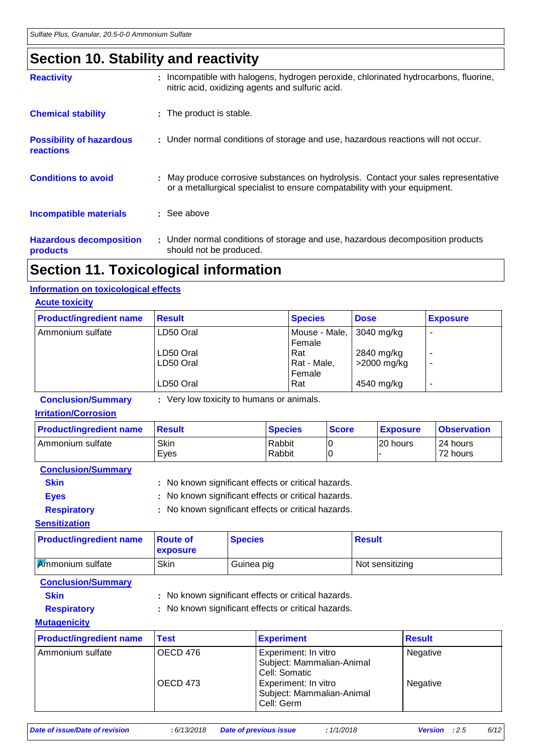# **Section 10. Stability and reactivity**

| <b>Reactivity</b>                                   | : Incompatible with halogens, hydrogen peroxide, chlorinated hydrocarbons, fluorine,<br>nitric acid, oxidizing agents and sulfuric acid.                          |
|-----------------------------------------------------|-------------------------------------------------------------------------------------------------------------------------------------------------------------------|
| <b>Chemical stability</b>                           | : The product is stable.                                                                                                                                          |
| <b>Possibility of hazardous</b><br><b>reactions</b> | : Under normal conditions of storage and use, hazardous reactions will not occur.                                                                                 |
| <b>Conditions to avoid</b>                          | : May produce corrosive substances on hydrolysis. Contact your sales representative<br>or a metallurgical specialist to ensure compatability with your equipment. |
| <b>Incompatible materials</b>                       | $\therefore$ See above                                                                                                                                            |
| <b>Hazardous decomposition</b><br>products          | : Under normal conditions of storage and use, hazardous decomposition products<br>should not be produced.                                                         |

# **Section 11. Toxicological information**

### **Information on toxicological effects**

| <b>Acute toxicity</b>          |               |                         |              |                          |
|--------------------------------|---------------|-------------------------|--------------|--------------------------|
| <b>Product/ingredient name</b> | <b>Result</b> | <b>Species</b>          | <b>Dose</b>  | <b>Exposure</b>          |
| Ammonium sulfate               | LD50 Oral     | Mouse - Male,<br>Female | $3040$ mg/kg | $\overline{\phantom{a}}$ |
|                                | LD50 Oral     | Rat                     | 2840 mg/kg   | ۰                        |
|                                | LD50 Oral     | Rat - Male,<br>Female   | >2000 mg/kg  | ۰                        |
|                                | LD50 Oral     | Rat                     | 4540 mg/kg   | $\overline{\phantom{a}}$ |

**Conclusion/Summary :** Very low toxicity to humans or animals.

### **Irritation/Corrosion**

| <b>Product/ingredient name</b> | <b>Result</b> | <b>Species</b>   | <b>Score</b> | <b>Exposure</b> | <b>Observation</b>   |
|--------------------------------|---------------|------------------|--------------|-----------------|----------------------|
| I Ammonium sulfate             | Skin<br>Eves  | Rabbit<br>Rabbit |              | 20 hours        | 24 hours<br>72 hours |

### **Conclusion/Summary**

- **Skin** : No known significant effects or critical hazards.
- Eyes : No known significant effects or critical hazards.

### **Respiratory :** No known significant effects or critical hazards. **Sensitization**

| <b>Product/ingredient name</b> | <b>Route of</b><br><b>exposure</b> | <b>Species</b> | Result          |
|--------------------------------|------------------------------------|----------------|-----------------|
| <b>Ammonium sulfate</b>        | Skin                               | Guinea pig     | Not sensitizing |

### **Conclusion/Summary**

- **Skin** : No known significant effects or critical hazards.
- 
- **Respiratory :** No known significant effects or critical hazards.

### **Mutagenicity**

| <b>Product/ingredient name</b> | <b>Test</b> | <b>Experiment</b>                                                  | <b>Result</b> |
|--------------------------------|-------------|--------------------------------------------------------------------|---------------|
| OECD 476<br>Ammonium sulfate   |             | Experiment: In vitro<br>Subject: Mammalian-Animal<br>Cell: Somatic | Negative      |
|                                | OECD 473    | Experiment: In vitro<br>Subject: Mammalian-Animal<br>Cell: Germ    | Negative      |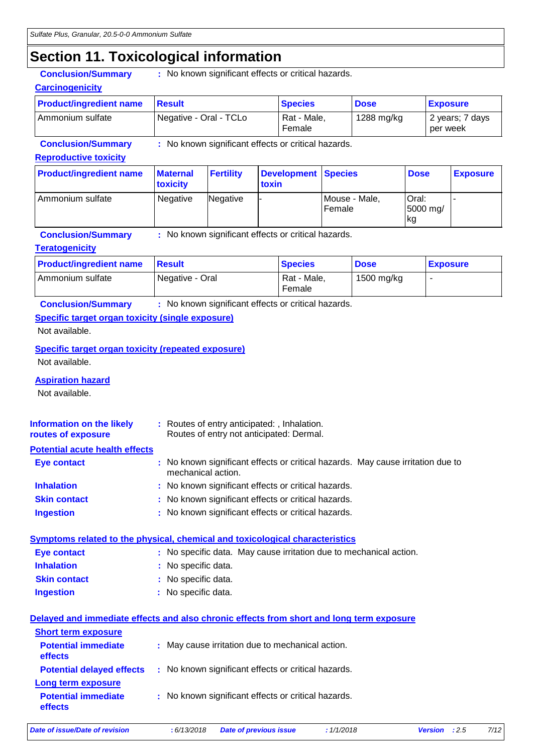## **Section 11. Toxicological information**

| <u> Julian III I Jaluar</u>                                                 |                             | ogiaar interniauen                                  |        |                                          |                |             |             |                             |  |
|-----------------------------------------------------------------------------|-----------------------------|-----------------------------------------------------|--------|------------------------------------------|----------------|-------------|-------------|-----------------------------|--|
| <b>Conclusion/Summary</b>                                                   |                             | : No known significant effects or critical hazards. |        |                                          |                |             |             |                             |  |
| <b>Carcinogenicity</b>                                                      |                             |                                                     |        |                                          |                |             |             |                             |  |
| <b>Product/ingredient name</b>                                              | <b>Result</b>               |                                                     |        |                                          | <b>Species</b> |             |             | <b>Exposure</b>             |  |
| Ammonium sulfate                                                            |                             | Negative - Oral - TCLo                              |        |                                          | Rat - Male,    | 1288 mg/kg  |             | 2 years; 7 days<br>per week |  |
| <b>Conclusion/Summary</b>                                                   |                             | : No known significant effects or critical hazards. |        |                                          |                |             |             |                             |  |
| <b>Reproductive toxicity</b>                                                |                             |                                                     |        |                                          |                |             |             |                             |  |
| <b>Product/ingredient name</b>                                              | <b>Maternal</b><br>toxicity | <b>Fertility</b>                                    | toxin  | <b>Development</b>                       | <b>Species</b> |             | <b>Dose</b> | <b>Exposure</b>             |  |
| Ammonium sulfate                                                            | Negative<br>Negative        |                                                     | Female | Oral:<br>Mouse - Male,<br>5000 mg/<br>kg |                |             |             |                             |  |
| <b>Conclusion/Summary</b>                                                   |                             | : No known significant effects or critical hazards. |        |                                          |                |             |             |                             |  |
| <b>Teratogenicity</b>                                                       |                             |                                                     |        |                                          |                |             |             |                             |  |
| <b>Product/ingredient name</b>                                              | <b>Result</b>               |                                                     |        | <b>Species</b>                           |                | <b>Dose</b> |             | <b>Exposure</b>             |  |
| Ammonium sulfate                                                            |                             | Negative - Oral                                     |        |                                          | Rat - Male,    | 1500 mg/kg  |             |                             |  |
| <b>Conclusion/Summary</b>                                                   |                             | : No known significant effects or critical hazards. |        |                                          |                |             |             |                             |  |
| <b>Specific target organ toxicity (single exposure)</b>                     |                             |                                                     |        |                                          |                |             |             |                             |  |
| Not available.                                                              |                             |                                                     |        |                                          |                |             |             |                             |  |
| <b>Specific target organ toxicity (repeated exposure)</b><br>Not available. |                             |                                                     |        |                                          |                |             |             |                             |  |
| <b>Aspiration hazard</b><br>Not available.                                  |                             |                                                     |        |                                          |                |             |             |                             |  |

| Information on the likely<br>routes of exposure | : Routes of entry anticipated: , Inhalation.<br>Routes of entry not anticipated: Dermal.              |  |
|-------------------------------------------------|-------------------------------------------------------------------------------------------------------|--|
| <b>Potential acute health effects</b>           |                                                                                                       |  |
| Eye contact                                     | : No known significant effects or critical hazards. May cause irritation due to<br>mechanical action. |  |

| <b>Inhalation</b> | : No known significant effects or critical hazards. |
|-------------------|-----------------------------------------------------|
|-------------------|-----------------------------------------------------|

- **Skin contact :** No known significant effects or critical hazards.
- **Ingestion :** No known significant effects or critical hazards.

### **Symptoms related to the physical, chemical and toxicological characteristics**

| Eye contact         | : No specific data. May cause irritation due to mechanical action. |
|---------------------|--------------------------------------------------------------------|
| <b>Inhalation</b>   | : No specific data.                                                |
| <b>Skin contact</b> | : No specific data.                                                |
| <b>Ingestion</b>    | : No specific data.                                                |

#### **Delayed and immediate effects and also chronic effects from short and long term exposure**

| : May cause irritation due to mechanical action.<br>: No known significant effects or critical hazards.<br>: No known significant effects or critical hazards. |
|----------------------------------------------------------------------------------------------------------------------------------------------------------------|

*Date of issue/Date of revision* **:** *6/13/2018 Date of previous issue : 1/1/2018 Version : 2.5 7/12*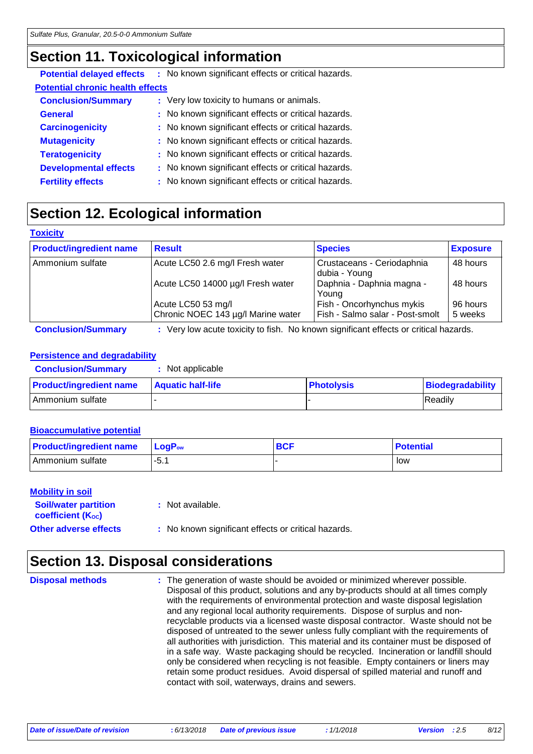# **Section 11. Toxicological information**

|                                         | <b>Potential delayed effects</b> : No known significant effects or critical hazards. |  |
|-----------------------------------------|--------------------------------------------------------------------------------------|--|
| <b>Potential chronic health effects</b> |                                                                                      |  |
| <b>Conclusion/Summary</b>               | : Very low toxicity to humans or animals.                                            |  |
| <b>General</b>                          | : No known significant effects or critical hazards.                                  |  |
| <b>Carcinogenicity</b>                  | : No known significant effects or critical hazards.                                  |  |
| <b>Mutagenicity</b>                     | : No known significant effects or critical hazards.                                  |  |
| <b>Teratogenicity</b>                   | : No known significant effects or critical hazards.                                  |  |
| <b>Developmental effects</b>            | : No known significant effects or critical hazards.                                  |  |
| <b>Fertility effects</b>                | : No known significant effects or critical hazards.                                  |  |

# **Section 12. Ecological information**

| <b>TOXICITY</b>                |                                                                                    |                                             |                 |
|--------------------------------|------------------------------------------------------------------------------------|---------------------------------------------|-----------------|
| <b>Product/ingredient name</b> | <b>Result</b>                                                                      | <b>Species</b>                              | <b>Exposure</b> |
| Ammonium sulfate               | Acute LC50 2.6 mg/l Fresh water                                                    | Crustaceans - Ceriodaphnia<br>dubia - Young | 48 hours        |
|                                | Acute LC50 14000 µg/l Fresh water                                                  | Daphnia - Daphnia magna -<br>Young          | 48 hours        |
|                                | Acute LC50 53 mg/l                                                                 | Fish - Oncorhynchus mykis                   | 96 hours        |
|                                | Chronic NOEC 143 µg/l Marine water                                                 | Fish - Salmo salar - Post-smolt             | 5 weeks         |
| Conclusion/Qummary             | • Very low acute toxicity to fish No known significant effects or critical hazards |                                             |                 |

#### **Conclusion/Summary :** Very low acute toxicity to fish. No known significant effects or critical hazards.

### **Persistence and degradability**

| <b>Conclusion/Summary</b>      | Not applicable           |                   |                  |
|--------------------------------|--------------------------|-------------------|------------------|
| <b>Product/ingredient name</b> | <b>Aquatic half-life</b> | <b>Photolysis</b> | Biodegradability |
| Ammonium sulfate               |                          |                   | <b>IReadily</b>  |

### **Bioaccumulative potential**

| <b>Product/ingredient name</b> | $LogPow$ | <b>BCF</b> | <b>Potential</b> |
|--------------------------------|----------|------------|------------------|
| Ammonium sulfate               | $-5.1$   |            | low              |

#### **Mobility in soil**

**Toxicity**

| <b>Soil/water partition</b><br>coefficient (K <sub>oc</sub> ) | : Not available.                                    |
|---------------------------------------------------------------|-----------------------------------------------------|
| <b>Other adverse effects</b>                                  | : No known significant effects or critical hazards. |

### **Section 13. Disposal considerations**

The generation of waste should be avoided or minimized wherever possible. Disposal of this product, solutions and any by-products should at all times comply with the requirements of environmental protection and waste disposal legislation and any regional local authority requirements. Dispose of surplus and nonrecyclable products via a licensed waste disposal contractor. Waste should not be disposed of untreated to the sewer unless fully compliant with the requirements of all authorities with jurisdiction. This material and its container must be disposed of in a safe way. Waste packaging should be recycled. Incineration or landfill should only be considered when recycling is not feasible. Empty containers or liners may retain some product residues. Avoid dispersal of spilled material and runoff and contact with soil, waterways, drains and sewers. **Disposal methods :**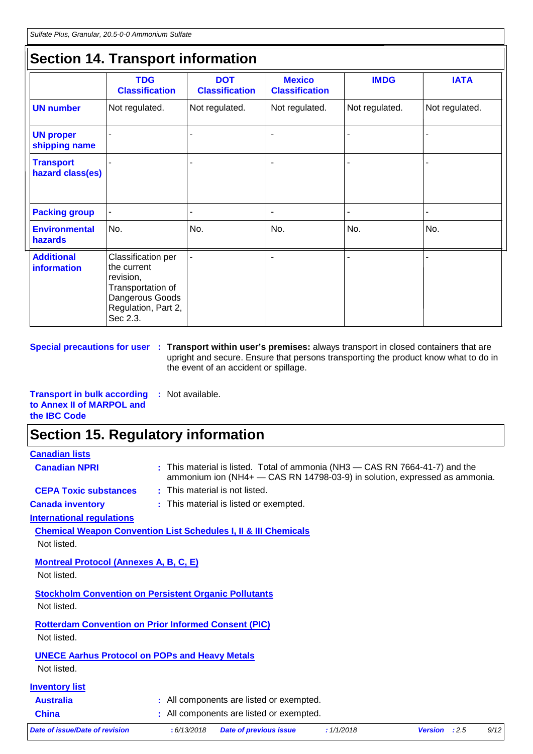## **Section 14. Transport information**

|                                      | <b>TDG</b><br><b>Classification</b>                                                                                       | <b>DOT</b><br><b>Classification</b> | <b>Mexico</b><br><b>Classification</b> | <b>IMDG</b>    | <b>IATA</b>    |
|--------------------------------------|---------------------------------------------------------------------------------------------------------------------------|-------------------------------------|----------------------------------------|----------------|----------------|
| <b>UN number</b>                     | Not regulated.                                                                                                            | Not regulated.                      | Not regulated.                         | Not regulated. | Not regulated. |
| <b>UN proper</b><br>shipping name    |                                                                                                                           |                                     | $\blacksquare$                         |                |                |
| <b>Transport</b><br>hazard class(es) |                                                                                                                           |                                     | $\blacksquare$                         |                |                |
| <b>Packing group</b>                 |                                                                                                                           |                                     | ٠                                      |                |                |
| <b>Environmental</b><br>hazards      | No.                                                                                                                       | No.                                 | No.                                    | No.            | No.            |
| <b>Additional</b><br>information     | Classification per<br>the current<br>revision,<br>Transportation of<br>Dangerous Goods<br>Regulation, Part 2,<br>Sec 2.3. |                                     |                                        |                |                |

**Special precautions for user** : Transport within user's premises: always transport in closed containers that are upright and secure. Ensure that persons transporting the product know what to do in the event of an accident or spillage.

**Transport in bulk according :** Not available. **to Annex II of MARPOL and the IBC Code**

## **Section 15. Regulatory information**

| <b>Canadian lists</b>                                                      |                                        |                                          |                                                                                                                                                            |                        |      |
|----------------------------------------------------------------------------|----------------------------------------|------------------------------------------|------------------------------------------------------------------------------------------------------------------------------------------------------------|------------------------|------|
| <b>Canadian NPRI</b>                                                       |                                        |                                          | : This material is listed. Total of ammonia (NH3 – CAS RN 7664-41-7) and the<br>ammonium ion (NH4+ - CAS RN 14798-03-9) in solution, expressed as ammonia. |                        |      |
| <b>CEPA Toxic substances</b>                                               | : This material is not listed.         |                                          |                                                                                                                                                            |                        |      |
| <b>Canada inventory</b>                                                    | : This material is listed or exempted. |                                          |                                                                                                                                                            |                        |      |
| <b>International regulations</b>                                           |                                        |                                          |                                                                                                                                                            |                        |      |
| <b>Chemical Weapon Convention List Schedules I, II &amp; III Chemicals</b> |                                        |                                          |                                                                                                                                                            |                        |      |
| Not listed.                                                                |                                        |                                          |                                                                                                                                                            |                        |      |
| <b>Montreal Protocol (Annexes A, B, C, E)</b>                              |                                        |                                          |                                                                                                                                                            |                        |      |
| Not listed.                                                                |                                        |                                          |                                                                                                                                                            |                        |      |
| <b>Stockholm Convention on Persistent Organic Pollutants</b>               |                                        |                                          |                                                                                                                                                            |                        |      |
| Not listed.                                                                |                                        |                                          |                                                                                                                                                            |                        |      |
| <b>Rotterdam Convention on Prior Informed Consent (PIC)</b>                |                                        |                                          |                                                                                                                                                            |                        |      |
| Not listed.                                                                |                                        |                                          |                                                                                                                                                            |                        |      |
| <b>UNECE Aarhus Protocol on POPs and Heavy Metals</b>                      |                                        |                                          |                                                                                                                                                            |                        |      |
| Not listed.                                                                |                                        |                                          |                                                                                                                                                            |                        |      |
| <b>Inventory list</b>                                                      |                                        |                                          |                                                                                                                                                            |                        |      |
| <b>Australia</b>                                                           |                                        | : All components are listed or exempted. |                                                                                                                                                            |                        |      |
| <b>China</b>                                                               |                                        | All components are listed or exempted.   |                                                                                                                                                            |                        |      |
| Date of issue/Date of revision                                             | : 6/13/2018                            | <b>Date of previous issue</b>            | : 1/1/2018                                                                                                                                                 | <b>Version</b> : $2.5$ | 9/12 |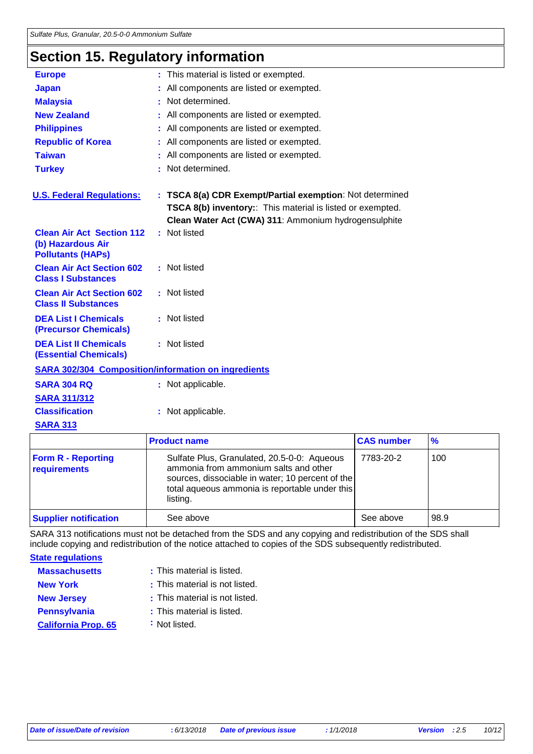# **Section 15. Regulatory information**

| <b>Europe</b>                                                                     | : This material is listed or exempted.                                                                                                                                         |                   |               |  |
|-----------------------------------------------------------------------------------|--------------------------------------------------------------------------------------------------------------------------------------------------------------------------------|-------------------|---------------|--|
| <b>Japan</b>                                                                      | All components are listed or exempted.                                                                                                                                         |                   |               |  |
| <b>Malaysia</b>                                                                   | Not determined.                                                                                                                                                                |                   |               |  |
| <b>New Zealand</b>                                                                | All components are listed or exempted.                                                                                                                                         |                   |               |  |
| <b>Philippines</b>                                                                | All components are listed or exempted.                                                                                                                                         |                   |               |  |
| <b>Republic of Korea</b>                                                          | All components are listed or exempted.                                                                                                                                         |                   |               |  |
| <b>Taiwan</b>                                                                     | All components are listed or exempted.                                                                                                                                         |                   |               |  |
| <b>Turkey</b>                                                                     | : Not determined.                                                                                                                                                              |                   |               |  |
| <b>U.S. Federal Regulations:</b>                                                  | : TSCA 8(a) CDR Exempt/Partial exemption: Not determined<br>TSCA 8(b) inventory:: This material is listed or exempted.<br>Clean Water Act (CWA) 311: Ammonium hydrogensulphite |                   |               |  |
| <b>Clean Air Act Section 112</b><br>(b) Hazardous Air<br><b>Pollutants (HAPs)</b> | : Not listed                                                                                                                                                                   |                   |               |  |
| <b>Clean Air Act Section 602</b><br><b>Class I Substances</b>                     | : Not listed                                                                                                                                                                   |                   |               |  |
| <b>Clean Air Act Section 602</b><br><b>Class II Substances</b>                    | : Not listed                                                                                                                                                                   |                   |               |  |
| <b>DEA List I Chemicals</b><br>(Precursor Chemicals)                              | : Not listed                                                                                                                                                                   |                   |               |  |
| <b>DEA List II Chemicals</b><br><b>(Essential Chemicals)</b>                      | : Not listed                                                                                                                                                                   |                   |               |  |
|                                                                                   | <b>SARA 302/304 Composition/information on ingredients</b>                                                                                                                     |                   |               |  |
| <b>SARA 304 RQ</b>                                                                | : Not applicable.                                                                                                                                                              |                   |               |  |
| <b>SARA 311/312</b>                                                               |                                                                                                                                                                                |                   |               |  |
| <b>Classification</b>                                                             | : Not applicable.                                                                                                                                                              |                   |               |  |
| <b>SARA 313</b>                                                                   |                                                                                                                                                                                |                   |               |  |
|                                                                                   | <b>Product name</b>                                                                                                                                                            | <b>CAS number</b> | $\frac{9}{6}$ |  |
| <b>Form R - Reporting</b>                                                         | Sulfate Plus, Granulated, 20.5-0-0: Aqueous                                                                                                                                    | 7783-20-2         | 100           |  |

|                                                                                                  |                     | <b>70</b>                                                                                                                |
|--------------------------------------------------------------------------------------------------|---------------------|--------------------------------------------------------------------------------------------------------------------------|
| Sulfate Plus, Granulated, 20.5-0-0: Aqueous<br>ammonia from ammonium salts and other<br>listing. | 7783-20-2           | 100                                                                                                                      |
| See above                                                                                        | See above           | 98.9                                                                                                                     |
|                                                                                                  | <b>Product name</b> | <b>LUAS NUMBER</b><br>sources, dissociable in water; 10 percent of the<br>total aqueous ammonia is reportable under this |

SARA 313 notifications must not be detached from the SDS and any copying and redistribution of the SDS shall include copying and redistribution of the notice attached to copies of the SDS subsequently redistributed.

**State regulations**

| <b>Massachusetts</b>       | : This material is listed.     |
|----------------------------|--------------------------------|
| <b>New York</b>            | : This material is not listed. |
| <b>New Jersey</b>          | : This material is not listed. |
| <b>Pennsylvania</b>        | : This material is listed.     |
| <b>California Prop. 65</b> | : Not listed.                  |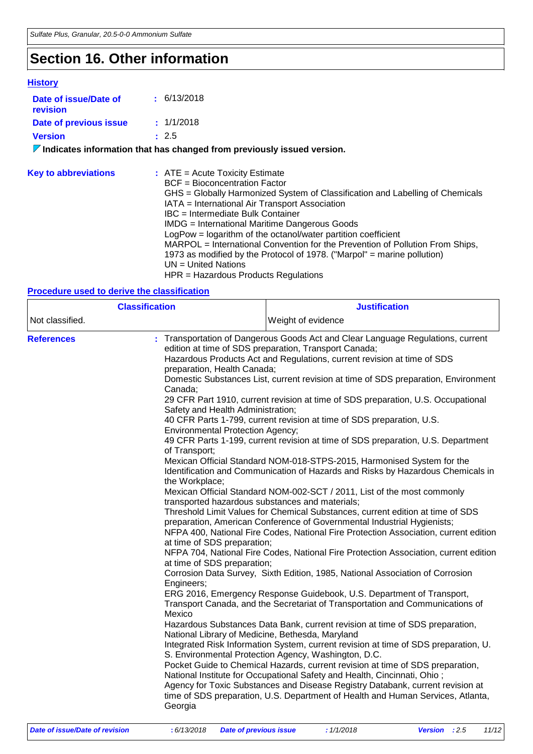# **Section 16. Other information**

### **History**

ľ

| Date of issue/Date of<br>revision | $\pm$ 6/13/2018                                                                                                                                                                                                                                                                                                                                                                                                                                                                                                                                                                           |
|-----------------------------------|-------------------------------------------------------------------------------------------------------------------------------------------------------------------------------------------------------------------------------------------------------------------------------------------------------------------------------------------------------------------------------------------------------------------------------------------------------------------------------------------------------------------------------------------------------------------------------------------|
| Date of previous issue            | : 1/1/2018                                                                                                                                                                                                                                                                                                                                                                                                                                                                                                                                                                                |
| <b>Version</b>                    | : 2.5                                                                                                                                                                                                                                                                                                                                                                                                                                                                                                                                                                                     |
|                                   | $\nabla$ Indicates information that has changed from previously issued version.                                                                                                                                                                                                                                                                                                                                                                                                                                                                                                           |
| <b>Key to abbreviations</b>       | $:$ ATE = Acute Toxicity Estimate<br>BCF = Bioconcentration Factor<br>GHS = Globally Harmonized System of Classification and Labelling of Chemicals<br>IATA = International Air Transport Association<br>IBC = Intermediate Bulk Container<br>IMDG = International Maritime Dangerous Goods<br>LogPow = logarithm of the octanol/water partition coefficient<br>MARPOL = International Convention for the Prevention of Pollution From Ships,<br>1973 as modified by the Protocol of 1978. ("Marpol" = marine pollution)<br>$UN = United Nations$<br>HPR = Hazardous Products Regulations |

### **Procedure used to derive the classification**

| <b>Classification</b> |                                                                                                                                                                                                                                                                                                                                                                                                                                                                                                                                                                                                                                                                                                                                                                                                                                                                                                                                                                                                                                                                                                                                                                                                                                                                                                                                                                                                                                                                                                                                                                                                                                                                                                                                                                                                                                                                                                                                                                                                                                                                                                                                                                                                                                                                                                                                 | <b>Justification</b> |
|-----------------------|---------------------------------------------------------------------------------------------------------------------------------------------------------------------------------------------------------------------------------------------------------------------------------------------------------------------------------------------------------------------------------------------------------------------------------------------------------------------------------------------------------------------------------------------------------------------------------------------------------------------------------------------------------------------------------------------------------------------------------------------------------------------------------------------------------------------------------------------------------------------------------------------------------------------------------------------------------------------------------------------------------------------------------------------------------------------------------------------------------------------------------------------------------------------------------------------------------------------------------------------------------------------------------------------------------------------------------------------------------------------------------------------------------------------------------------------------------------------------------------------------------------------------------------------------------------------------------------------------------------------------------------------------------------------------------------------------------------------------------------------------------------------------------------------------------------------------------------------------------------------------------------------------------------------------------------------------------------------------------------------------------------------------------------------------------------------------------------------------------------------------------------------------------------------------------------------------------------------------------------------------------------------------------------------------------------------------------|----------------------|
| Not classified.       |                                                                                                                                                                                                                                                                                                                                                                                                                                                                                                                                                                                                                                                                                                                                                                                                                                                                                                                                                                                                                                                                                                                                                                                                                                                                                                                                                                                                                                                                                                                                                                                                                                                                                                                                                                                                                                                                                                                                                                                                                                                                                                                                                                                                                                                                                                                                 | Weight of evidence   |
| <b>References</b>     | Transportation of Dangerous Goods Act and Clear Language Regulations, current<br>edition at time of SDS preparation, Transport Canada;<br>Hazardous Products Act and Regulations, current revision at time of SDS<br>preparation, Health Canada;<br>Domestic Substances List, current revision at time of SDS preparation, Environment<br>Canada;<br>29 CFR Part 1910, current revision at time of SDS preparation, U.S. Occupational<br>Safety and Health Administration;<br>40 CFR Parts 1-799, current revision at time of SDS preparation, U.S.<br><b>Environmental Protection Agency;</b><br>49 CFR Parts 1-199, current revision at time of SDS preparation, U.S. Department<br>of Transport;<br>Mexican Official Standard NOM-018-STPS-2015, Harmonised System for the<br>Identification and Communication of Hazards and Risks by Hazardous Chemicals in<br>the Workplace;<br>Mexican Official Standard NOM-002-SCT / 2011, List of the most commonly<br>transported hazardous substances and materials;<br>Threshold Limit Values for Chemical Substances, current edition at time of SDS<br>preparation, American Conference of Governmental Industrial Hygienists;<br>NFPA 400, National Fire Codes, National Fire Protection Association, current edition<br>at time of SDS preparation;<br>NFPA 704, National Fire Codes, National Fire Protection Association, current edition<br>at time of SDS preparation;<br>Corrosion Data Survey, Sixth Edition, 1985, National Association of Corrosion<br>Engineers;<br>ERG 2016, Emergency Response Guidebook, U.S. Department of Transport,<br>Transport Canada, and the Secretariat of Transportation and Communications of<br>Mexico<br>Hazardous Substances Data Bank, current revision at time of SDS preparation,<br>National Library of Medicine, Bethesda, Maryland<br>Integrated Risk Information System, current revision at time of SDS preparation, U.<br>S. Environmental Protection Agency, Washington, D.C.<br>Pocket Guide to Chemical Hazards, current revision at time of SDS preparation,<br>National Institute for Occupational Safety and Health, Cincinnati, Ohio;<br>Agency for Toxic Substances and Disease Registry Databank, current revision at<br>time of SDS preparation, U.S. Department of Health and Human Services, Atlanta,<br>Georgia |                      |